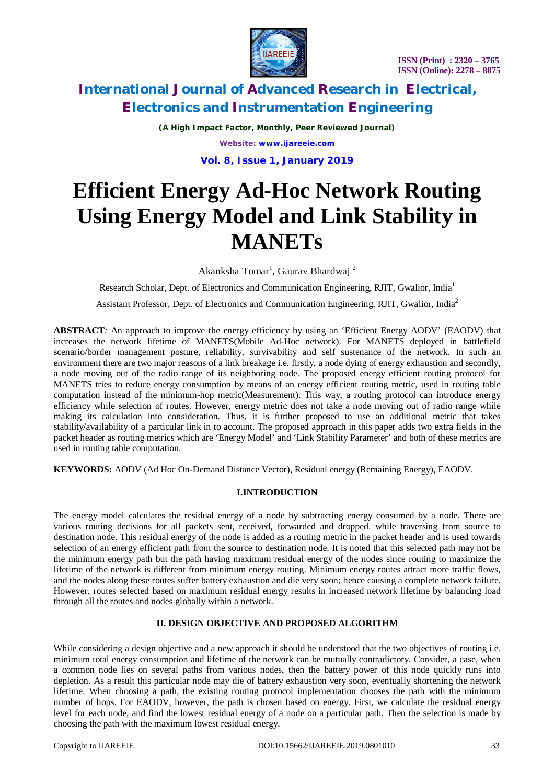



*(A High Impact Factor, Monthly, Peer Reviewed Journal) Website: [www.ijareeie.com](http://www.ijareeie.com)* **Vol. 8, Issue 1, January 2019**

# **Efficient Energy Ad-Hoc Network Routing Using Energy Model and Link Stability in MANETs**

Akanksha Tomar<sup>1</sup>, Gaurav Bhardwaj<sup>2</sup>

Research Scholar, Dept. of Electronics and Communication Engineering, RJIT, Gwalior, India<sup>1</sup>

Assistant Professor, Dept. of Electronics and Communication Engineering, RJIT, Gwalior, India<sup>2</sup>

**ABSTRACT**: An approach to improve the energy efficiency by using an 'Efficient Energy AODV' (EAODV) that increases the network lifetime of MANETS(Mobile Ad-Hoc network). For MANETS deployed in battlefield scenario/border management posture, reliability, survivability and self sustenance of the network. In such an environment there are two major reasons of a link breakage i.e. firstly, a node dying of energy exhaustion and secondly, a node moving out of the radio range of its neighboring node. The proposed energy efficient routing protocol for MANETS tries to reduce energy consumption by means of an energy efficient routing metric, used in routing table computation instead of the minimum-hop metric(Measurement). This way, a routing protocol can introduce energy efficiency while selection of routes. However, energy metric does not take a node moving out of radio range while making its calculation into consideration. Thus, it is further proposed to use an additional metric that takes stability/availability of a particular link in to account. The proposed approach in this paper adds two extra fields in the packet header as routing metrics which are 'Energy Model' and 'Link Stability Parameter' and both of these metrics are used in routing table computation.

**KEYWORDS:** AODV (Ad Hoc On-Demand Distance Vector), Residual energy (Remaining Energy), EAODV.

#### **I.INTRODUCTION**

The energy model calculates the residual energy of a node by subtracting energy consumed by a node. There are various routing decisions for all packets sent, received, forwarded and dropped. while traversing from source to destination node. This residual energy of the node is added as a routing metric in the packet header and is used towards selection of an energy efficient path from the source to destination node. It is noted that this selected path may not be the minimum energy path but the path having maximum residual energy of the nodes since routing to maximize the lifetime of the network is different from minimum energy routing. Minimum energy routes attract more traffic flows, and the nodes along these routes suffer battery exhaustion and die very soon; hence causing a complete network failure. However, routes selected based on maximum residual energy results in increased network lifetime by balancing load through all the routes and nodes globally within a network.

#### **II. DESIGN OBJECTIVE AND PROPOSED ALGORITHM**

While considering a design objective and a new approach it should be understood that the two objectives of routing i.e. minimum total energy consumption and lifetime of the network can be mutually contradictory. Consider, a case, when a common node lies on several paths from various nodes, then the battery power of this node quickly runs into depletion. As a result this particular node may die of battery exhaustion very soon, eventually shortening the network lifetime. When choosing a path, the existing routing protocol implementation chooses the path with the minimum number of hops. For EAODV, however, the path is chosen based on energy. First, we calculate the residual energy level for each node, and find the lowest residual energy of a node on a particular path. Then the selection is made by choosing the path with the maximum lowest residual energy.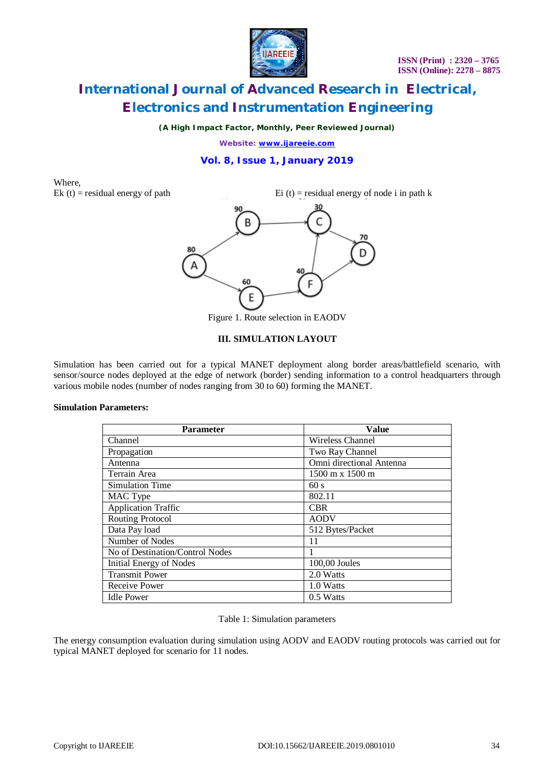

*(A High Impact Factor, Monthly, Peer Reviewed Journal)*

*Website: [www.ijareeie.com](http://www.ijareeie.com)*

#### **Vol. 8, Issue 1, January 2019**

# Where,

Ek (t) = residual energy of path Ei (t) = residual energy of node i in path k



Figure 1. Route selection in EAODV

#### **III. SIMULATION LAYOUT**

Simulation has been carried out for a typical MANET deployment along border areas/battlefield scenario, with sensor/source nodes deployed at the edge of network (border) sending information to a control headquarters through various mobile nodes (number of nodes ranging from 30 to 60) forming the MANET.

#### **Simulation Parameters:**

| <b>Parameter</b>                | <b>Value</b>                           |  |
|---------------------------------|----------------------------------------|--|
| Channel                         | Wireless Channel                       |  |
| Propagation                     | Two Ray Channel                        |  |
| Antenna                         | Omni directional Antenna               |  |
| Terrain Area                    | $1500 \text{ m} \times 1500 \text{ m}$ |  |
| Simulation Time                 | 60s                                    |  |
| MAC Type                        | 802.11                                 |  |
| <b>Application Traffic</b>      | <b>CBR</b>                             |  |
| Routing Protocol                | <b>AODV</b>                            |  |
| Data Pay load                   | 512 Bytes/Packet                       |  |
| Number of Nodes                 | 11                                     |  |
| No of Destination/Control Nodes |                                        |  |
| Initial Energy of Nodes         | 100,00 Joules                          |  |
| <b>Transmit Power</b>           | 2.0 Watts                              |  |
| Receive Power                   | 1.0 Watts                              |  |
| <b>Idle Power</b>               | 0.5 Watts                              |  |

#### Table 1: Simulation parameters

The energy consumption evaluation during simulation using AODV and EAODV routing protocols was carried out for typical MANET deployed for scenario for 11 nodes.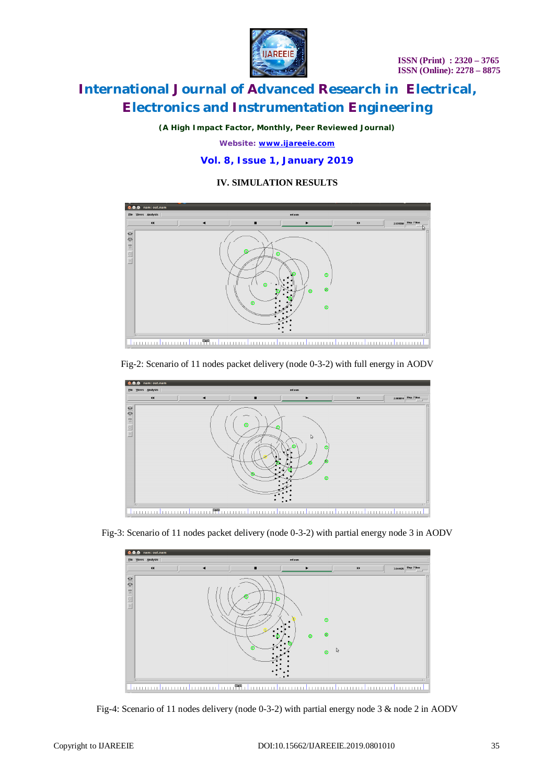

*(A High Impact Factor, Monthly, Peer Reviewed Journal)*

*Website: [www.ijareeie.com](http://www.ijareeie.com)*

#### **Vol. 8, Issue 1, January 2019**

**IV. SIMULATION RESULTS**



#### Fig-2: Scenario of 11 nodes packet delivery (node 0-3-2) with full energy in AODV



Fig-3: Scenario of 11 nodes packet delivery (node 0-3-2) with partial energy node 3 in AODV



Fig-4: Scenario of 11 nodes delivery (node 0-3-2) with partial energy node 3 & node 2 in AODV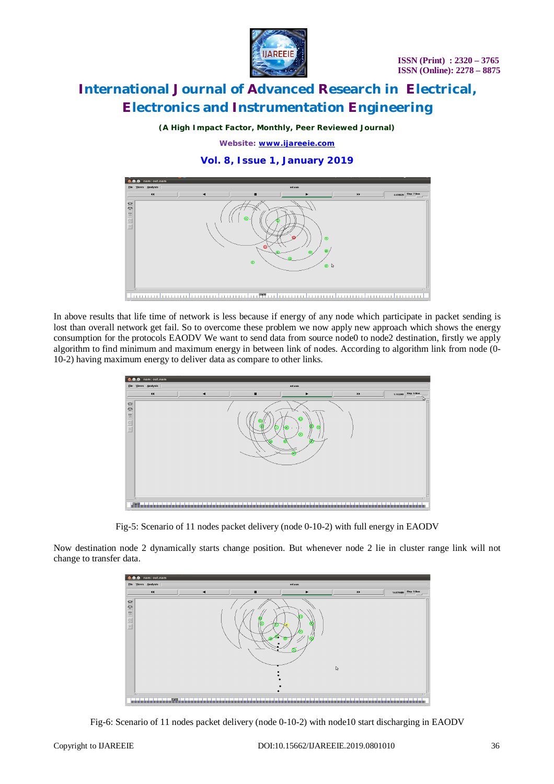

*(A High Impact Factor, Monthly, Peer Reviewed Journal)*

*Website: [www.ijareeie.com](http://www.ijareeie.com)*

#### **Vol. 8, Issue 1, January 2019**



In above results that life time of network is less because if energy of any node which participate in packet sending is lost than overall network get fail. So to overcome these problem we now apply new approach which shows the energy consumption for the protocols EAODV We want to send data from source node0 to node2 destination, firstly we apply algorithm to find minimum and maximum energy in between link of nodes. According to algorithm link from node (0- 10-2) having maximum energy to deliver data as compare to other links.

| <b>O</b> ⊙ nam: out.nam                 |         |   |                                            |                                          |  |                                      |
|-----------------------------------------|---------|---|--------------------------------------------|------------------------------------------|--|--------------------------------------|
| Elle Views Analysis                     | out nam |   |                                            |                                          |  |                                      |
| $\blacktriangleleft$                    |         | ▪ | ь                                          | $\blacktriangleright\blacktriangleright$ |  | 1.743291 Step: 5.0ms<br><b>STORY</b> |
| $0 = 1 = 100$<br>ाउ                     |         |   | $\bullet$<br>т<br>$\circ$<br>$\omega$<br>г |                                          |  | ГS                                   |
| TEUX<br><b>ANTIQUE DE LA PRODUCTION</b> |         |   |                                            |                                          |  | ,,,,,,,,,,,,,,,,,,,,,                |

Fig-5: Scenario of 11 nodes packet delivery (node 0-10-2) with full energy in EAODV

Now destination node 2 dynamically starts change position. But whenever node 2 lie in cluster range link will not change to transfer data.



Fig-6: Scenario of 11 nodes packet delivery (node 0-10-2) with node10 start discharging in EAODV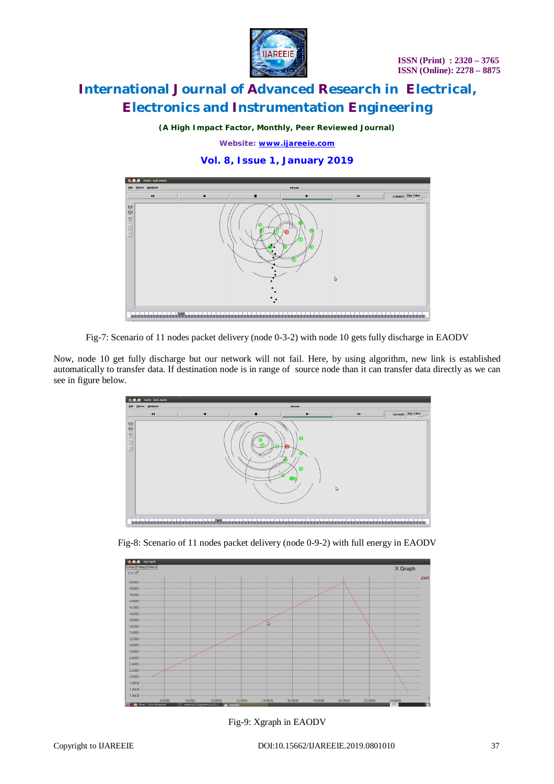



*(A High Impact Factor, Monthly, Peer Reviewed Journal)*

*Website: [www.ijareeie.com](http://www.ijareeie.com)*

#### **Vol. 8, Issue 1, January 2019**



Fig-7: Scenario of 11 nodes packet delivery (node 0-3-2) with node 10 gets fully discharge in EAODV

Now, node 10 get fully discharge but our network will not fail. Here, by using algorithm, new link is established automatically to transfer data. If destination node is in range of source node than it can transfer data directly as we can see in figure below.



Fig-8: Scenario of 11 nodes packet delivery (node 0-9-2) with full energy in EAODV



Fig-9: Xgraph in EAODV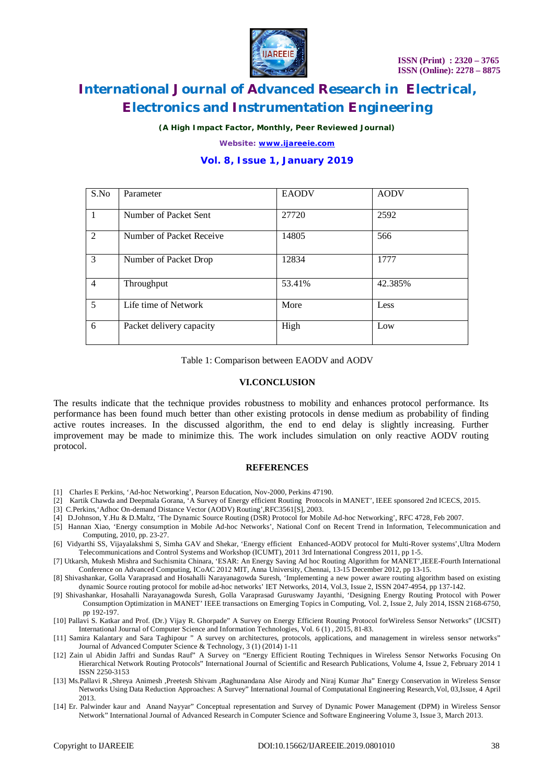

*(A High Impact Factor, Monthly, Peer Reviewed Journal)*

*Website: [www.ijareeie.com](http://www.ijareeie.com)*

#### **Vol. 8, Issue 1, January 2019**

| S.No           | Parameter                | <b>EAODV</b> | <b>AODV</b> |
|----------------|--------------------------|--------------|-------------|
| $\overline{1}$ | Number of Packet Sent    | 27720        | 2592        |
| 2              | Number of Packet Receive | 14805        | 566         |
| 3              | Number of Packet Drop    | 12834        | 1777        |
| $\overline{4}$ | Throughput               | 53.41%       | 42.385%     |
| 5              | Life time of Network     | More         | Less        |
| 6              | Packet delivery capacity | High         | Low         |

Table 1: Comparison between EAODV and AODV

#### **VI.CONCLUSION**

The results indicate that the technique provides robustness to mobility and enhances protocol performance. Its performance has been found much better than other existing protocols in dense medium as probability of finding active routes increases. In the discussed algorithm, the end to end delay is slightly increasing. Further improvement may be made to minimize this. The work includes simulation on only reactive AODV routing protocol.

#### **REFERENCES**

- [1] Charles E Perkins, 'Ad-hoc Networking', Pearson Education, Nov-2000, Perkins 47190.
- [2] Kartik Chawda and Deepmala Gorana, 'A Survey of Energy efficient Routing Protocols in MANET', IEEE sponsored 2nd ICECS, 2015.
- [3] C.Perkins, 'Adhoc On-demand Distance Vector (AODV) Routing', RFC3561[S], 2003.
- [4] D.Johnson, Y.Hu & D.Maltz, 'The Dynamic Source Routing (DSR) Protocol for Mobile Ad-hoc Networking', RFC 4728, Feb 2007.
- [5] Hannan Xiao, 'Energy consumption in Mobile Ad-hoc Networks', National Conf on Recent Trend in Information, Telecommunication and Computing, 2010, pp. 23-27.
- [6] Vidyarthi SS, Vijayalakshmi S, Simha GAV and Shekar, 'Energy efficient Enhanced-AODV protocol for Multi-Rover systems',Ultra Modern Telecommunications and Control Systems and Workshop (ICUMT), 2011 3rd International Congress 2011, pp 1-5.
- [7] Utkarsh, Mukesh Mishra and Suchismita Chinara, 'ESAR: An Energy Saving Ad hoc Routing Algorithm for MANET',IEEE-Fourth International Conference on Advanced Computing, ICoAC 2012 MIT, Anna University, Chennai, 13-15 December 2012, pp 13-15.
- [8] Shivashankar, Golla Varaprasad and Hosahalli Narayanagowda Suresh, 'Implementing a new power aware routing algorithm based on existing dynamic Source routing protocol for mobile ad-hoc networks' IET Networks, 2014, Vol.3, Issue 2, ISSN 2047-4954, pp 137-142.
- [9] Shivashankar, Hosahalli Narayanagowda Suresh, Golla Varaprasad Guruswamy Jayanthi, 'Designing Energy Routing Protocol with Power Consumption Optimization in MANET' IEEE transactions on Emerging Topics in Computing, Vol. 2, Issue 2, July 2014, ISSN 2168-6750, pp 192-197.
- [10] Pallavi S. Katkar and Prof. (Dr.) Vijay R. Ghorpade" A Survey on Energy Efficient Routing Protocol forWireless Sensor Networks" (IJCSIT) International Journal of Computer Science and Information Technologies, Vol. 6 (1) , 2015, 81-83.
- [11] Samira Kalantary and Sara Taghipour " A survey on architectures, protocols, applications, and management in wireless sensor networks" Journal of Advanced Computer Science & Technology, 3 (1) (2014) 1-11
- [12] Zain ul Abidin Jaffri and Sundas Rauf" A Survey on "Energy Efficient Routing Techniques in Wireless Sensor Networks Focusing On Hierarchical Network Routing Protocols" International Journal of Scientific and Research Publications, Volume 4, Issue 2, February 2014 1 ISSN 2250-3153
- [13] Ms.Pallavi R ,Shreya Animesh ,Preetesh Shivam ,Raghunandana Alse Airody and Niraj Kumar Jha" Energy Conservation in Wireless Sensor Networks Using Data Reduction Approaches: A Survey" International Journal of Computational Engineering Research,Vol, 03,Issue, 4 April 2013.
- [14] Er. Palwinder kaur and Anand Nayyar" Conceptual representation and Survey of Dynamic Power Management (DPM) in Wireless Sensor Network" International Journal of Advanced Research in Computer Science and Software Engineering Volume 3, Issue 3, March 2013.